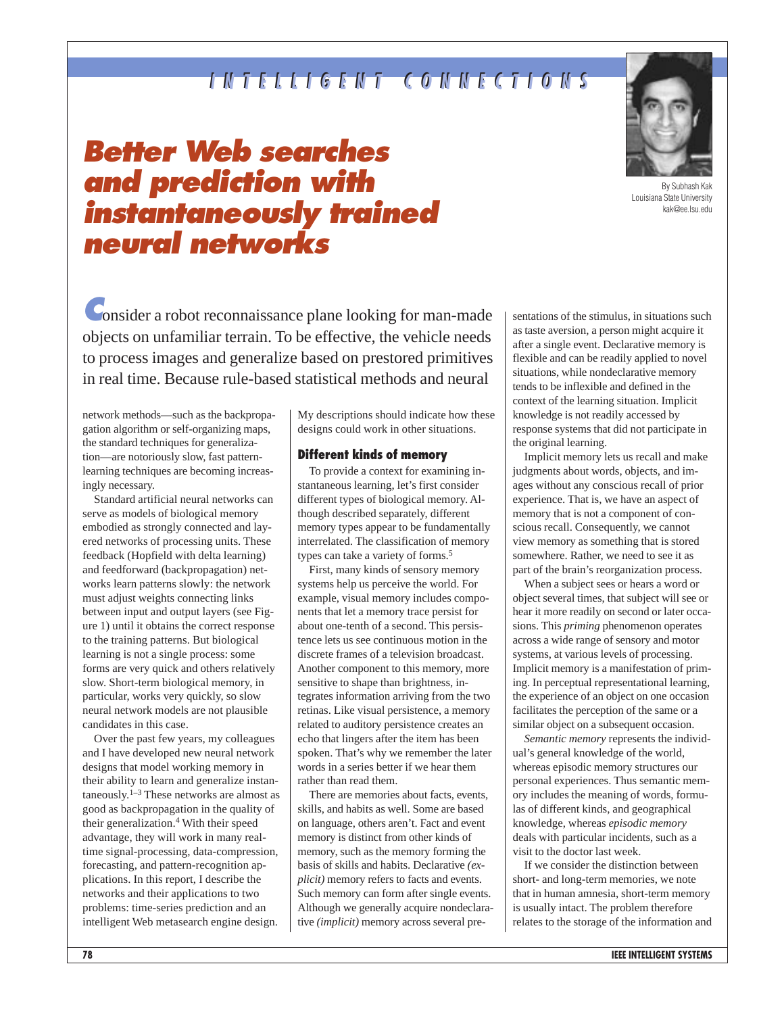## **INTELLIGENT CONNECTIONS INTELLIGENT CONNECTIONS**

# **Better Web searches and prediction with instantaneously trained neural networks**



By Subhash Kak Louisiana State University kak@ee.lsu.edu

**C**onsider a robot reconnaissance plane looking for man-made objects on unfamiliar terrain. To be effective, the vehicle needs to process images and generalize based on prestored primitives in real time. Because rule-based statistical methods and neural

network methods—such as the backpropagation algorithm or self-organizing maps, the standard techniques for generalization—are notoriously slow, fast patternlearning techniques are becoming increasingly necessary.

Standard artificial neural networks can serve as models of biological memory embodied as strongly connected and layered networks of processing units. These feedback (Hopfield with delta learning) and feedforward (backpropagation) networks learn patterns slowly: the network must adjust weights connecting links between input and output layers (see Figure 1) until it obtains the correct response to the training patterns. But biological learning is not a single process: some forms are very quick and others relatively slow. Short-term biological memory, in particular, works very quickly, so slow neural network models are not plausible candidates in this case.

Over the past few years, my colleagues and I have developed new neural network designs that model working memory in their ability to learn and generalize instantaneously.<sup>1–3</sup> These networks are almost as good as backpropagation in the quality of their generalization.4 With their speed advantage, they will work in many realtime signal-processing, data-compression, forecasting, and pattern-recognition applications. In this report, I describe the networks and their applications to two problems: time-series prediction and an intelligent Web metasearch engine design.

My descriptions should indicate how these designs could work in other situations.

#### **Different kinds of memory**

To provide a context for examining instantaneous learning, let's first consider different types of biological memory. Although described separately, different memory types appear to be fundamentally interrelated. The classification of memory types can take a variety of forms.<sup>5</sup>

First, many kinds of sensory memory systems help us perceive the world. For example, visual memory includes components that let a memory trace persist for about one-tenth of a second. This persistence lets us see continuous motion in the discrete frames of a television broadcast. Another component to this memory, more sensitive to shape than brightness, integrates information arriving from the two retinas. Like visual persistence, a memory related to auditory persistence creates an echo that lingers after the item has been spoken. That's why we remember the later words in a series better if we hear them rather than read them.

There are memories about facts, events, skills, and habits as well. Some are based on language, others aren't. Fact and event memory is distinct from other kinds of memory, such as the memory forming the basis of skills and habits. Declarative *(explicit)* memory refers to facts and events. Such memory can form after single events. Although we generally acquire nondeclarative *(implicit)* memory across several presentations of the stimulus, in situations such as taste aversion, a person might acquire it after a single event. Declarative memory is flexible and can be readily applied to novel situations, while nondeclarative memory tends to be inflexible and defined in the context of the learning situation. Implicit knowledge is not readily accessed by response systems that did not participate in the original learning.

Implicit memory lets us recall and make judgments about words, objects, and images without any conscious recall of prior experience. That is, we have an aspect of memory that is not a component of conscious recall. Consequently, we cannot view memory as something that is stored somewhere. Rather, we need to see it as part of the brain's reorganization process.

When a subject sees or hears a word or object several times, that subject will see or hear it more readily on second or later occasions. This *priming* phenomenon operates across a wide range of sensory and motor systems, at various levels of processing. Implicit memory is a manifestation of priming. In perceptual representational learning, the experience of an object on one occasion facilitates the perception of the same or a similar object on a subsequent occasion.

*Semantic memory* represents the individual's general knowledge of the world, whereas episodic memory structures our personal experiences. Thus semantic memory includes the meaning of words, formulas of different kinds, and geographical knowledge, whereas *episodic memory* deals with particular incidents, such as a visit to the doctor last week.

If we consider the distinction between short- and long-term memories, we note that in human amnesia, short-term memory is usually intact. The problem therefore relates to the storage of the information and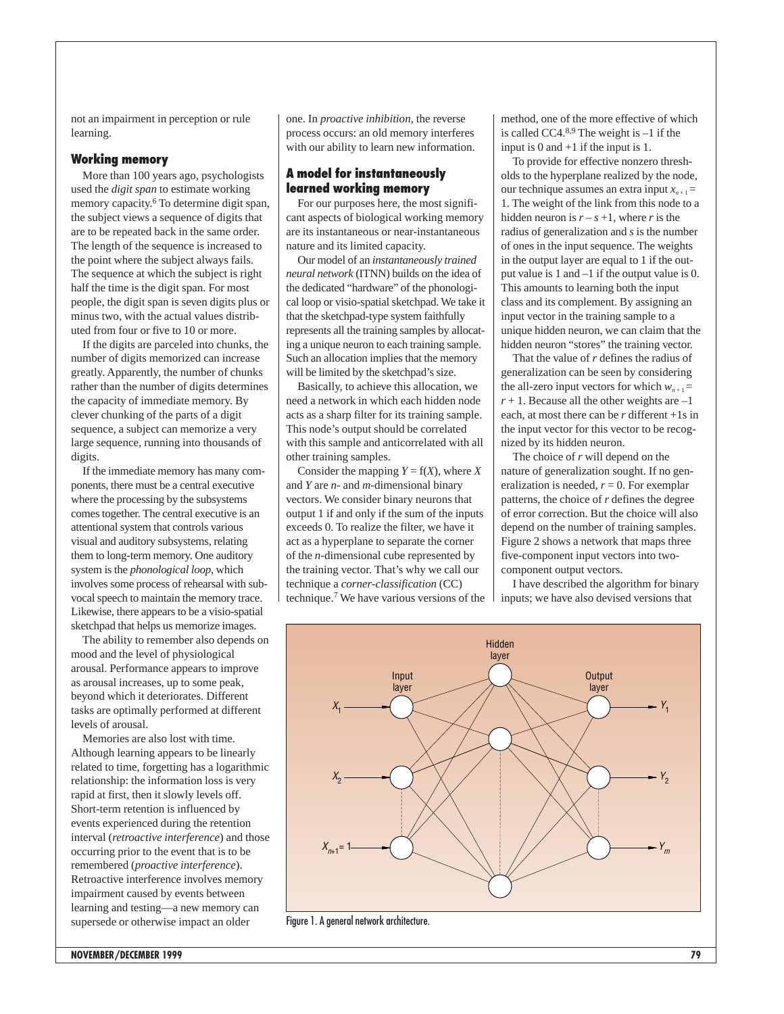not an impairment in perception or rule learning.

#### **Working memory**

More than 100 years ago, psychologists used the *digit span* to estimate working memory capacity.<sup>6</sup> To determine digit span, the subject views a sequence of digits that are to be repeated back in the same order. The length of the sequence is increased to the point where the subject always fails. The sequence at which the subject is right half the time is the digit span. For most people, the digit span is seven digits plus or minus two, with the actual values distributed from four or five to 10 or more.

If the digits are parceled into chunks, the number of digits memorized can increase greatly. Apparently, the number of chunks rather than the number of digits determines the capacity of immediate memory. By clever chunking of the parts of a digit sequence, a subject can memorize a very large sequence, running into thousands of digits.

If the immediate memory has many components, there must be a central executive where the processing by the subsystems comes together. The central executive is an attentional system that controls various visual and auditory subsystems, relating them to long-term memory. One auditory system is the *phonological loop*, which involves some process of rehearsal with subvocal speech to maintain the memory trace. Likewise, there appears to be a visio-spatial sketchpad that helps us memorize images.

The ability to remember also depends on mood and the level of physiological arousal. Performance appears to improve as arousal increases, up to some peak, beyond which it deteriorates. Different tasks are optimally performed at different levels of arousal.

Memories are also lost with time. Although learning appears to be linearly related to time, forgetting has a logarithmic relationship: the information loss is very rapid at first, then it slowly levels off. Short-term retention is influenced by events experienced during the retention interval (*retroactive interference*) and those occurring prior to the event that is to be remembered (*proactive interference*). Retroactive interference involves memory impairment caused by events between learning and testing—a new memory can supersede or otherwise impact an older

one. In *proactive inhibition*, the reverse process occurs: an old memory interferes with our ability to learn new information.

#### **A model for instantaneously learned working memory**

For our purposes here, the most significant aspects of biological working memory are its instantaneous or near-instantaneous nature and its limited capacity.

Our model of an *instantaneously trained neural network* (ITNN) builds on the idea of the dedicated "hardware" of the phonological loop or visio-spatial sketchpad. We take it that the sketchpad-type system faithfully represents all the training samples by allocating a unique neuron to each training sample. Such an allocation implies that the memory will be limited by the sketchpad's size.

Basically, to achieve this allocation, we need a network in which each hidden node acts as a sharp filter for its training sample. This node's output should be correlated with this sample and anticorrelated with all other training samples.

Consider the mapping  $Y = f(X)$ , where *X* and *Y* are *n*- and *m*-dimensional binary vectors. We consider binary neurons that output 1 if and only if the sum of the inputs exceeds 0. To realize the filter, we have it act as a hyperplane to separate the corner of the *n*-dimensional cube represented by the training vector. That's why we call our technique a *corner-classification* (CC) technique.7 We have various versions of the method, one of the more effective of which is called CC4. $8,9$  The weight is  $-1$  if the input is 0 and +1 if the input is 1.

To provide for effective nonzero thresholds to the hyperplane realized by the node, our technique assumes an extra input  $x_{n+1} =$ 1. The weight of the link from this node to a hidden neuron is  $r - s + 1$ , where *r* is the radius of generalization and *s* is the number of ones in the input sequence. The weights in the output layer are equal to 1 if the output value is 1 and –1 if the output value is 0. This amounts to learning both the input class and its complement. By assigning an input vector in the training sample to a unique hidden neuron, we can claim that the hidden neuron "stores" the training vector.

That the value of *r* defines the radius of generalization can be seen by considering the all-zero input vectors for which  $w_{n+1} =$  $r + 1$ . Because all the other weights are  $-1$ each, at most there can be *r* different +1s in the input vector for this vector to be recognized by its hidden neuron.

The choice of *r* will depend on the nature of generalization sought. If no generalization is needed,  $r = 0$ . For exemplar patterns, the choice of *r* defines the degree of error correction. But the choice will also depend on the number of training samples. Figure 2 shows a network that maps three five-component input vectors into twocomponent output vectors.

I have described the algorithm for binary inputs; we have also devised versions that



Figure 1. A general network architecture.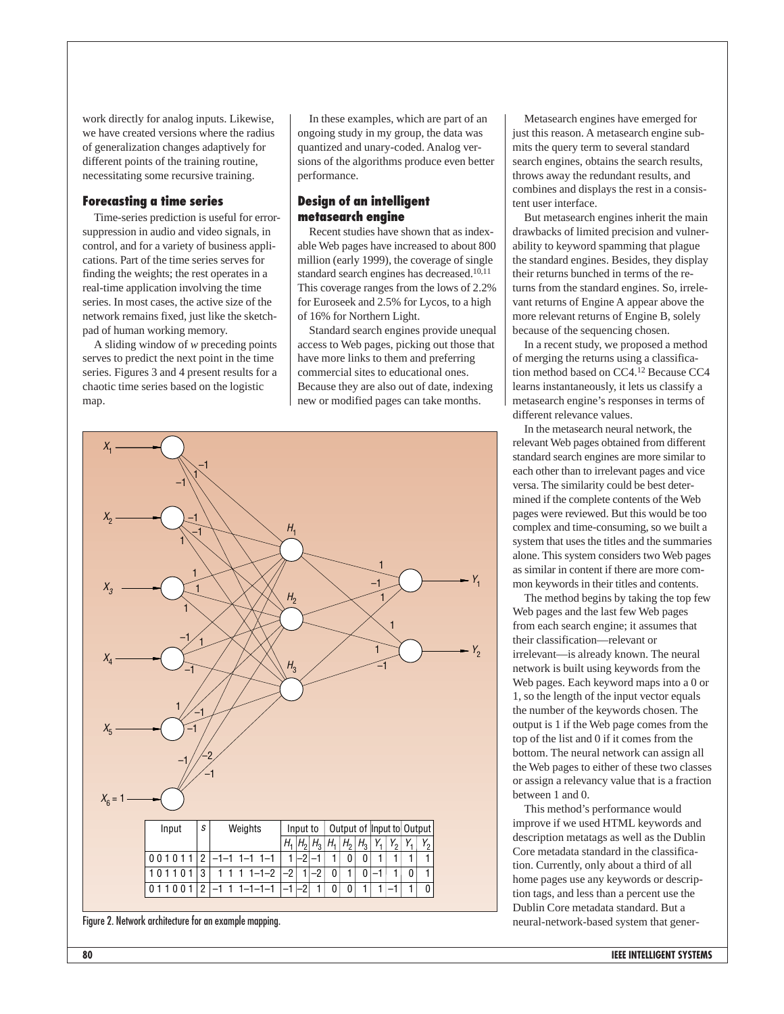work directly for analog inputs. Likewise, we have created versions where the radius of generalization changes adaptively for different points of the training routine, necessitating some recursive training.

#### **Forecasting a time series**

Time-series prediction is useful for errorsuppression in audio and video signals, in control, and for a variety of business applications. Part of the time series serves for finding the weights; the rest operates in a real-time application involving the time series. In most cases, the active size of the network remains fixed, just like the sketchpad of human working memory.

A sliding window of *w* preceding points serves to predict the next point in the time series. Figures 3 and 4 present results for a chaotic time series based on the logistic map.

In these examples, which are part of an ongoing study in my group, the data was quantized and unary-coded. Analog versions of the algorithms produce even better performance.

#### **Design of an intelligent metasearch engine**

Recent studies have shown that as indexable Web pages have increased to about 800 million (early 1999), the coverage of single standard search engines has decreased.<sup>10,11</sup> This coverage ranges from the lows of 2.2% for Euroseek and 2.5% for Lycos, to a high of 16% for Northern Light.

Standard search engines provide unequal access to Web pages, picking out those that have more links to them and preferring commercial sites to educational ones. Because they are also out of date, indexing new or modified pages can take months.



Figure 2. Network architecture for an example mapping.

Metasearch engines have emerged for just this reason. A metasearch engine submits the query term to several standard search engines, obtains the search results, throws away the redundant results, and combines and displays the rest in a consistent user interface.

But metasearch engines inherit the main drawbacks of limited precision and vulnerability to keyword spamming that plague the standard engines. Besides, they display their returns bunched in terms of the returns from the standard engines. So, irrelevant returns of Engine A appear above the more relevant returns of Engine B, solely because of the sequencing chosen.

In a recent study, we proposed a method of merging the returns using a classification method based on CC4.12 Because CC4 learns instantaneously, it lets us classify a metasearch engine's responses in terms of different relevance values.

In the metasearch neural network, the relevant Web pages obtained from different standard search engines are more similar to each other than to irrelevant pages and vice versa. The similarity could be best determined if the complete contents of the Web pages were reviewed. But this would be too complex and time-consuming, so we built a system that uses the titles and the summaries alone. This system considers two Web pages as similar in content if there are more common keywords in their titles and contents.

The method begins by taking the top few Web pages and the last few Web pages from each search engine; it assumes that their classification—relevant or irrelevant—is already known. The neural network is built using keywords from the Web pages. Each keyword maps into a 0 or 1, so the length of the input vector equals the number of the keywords chosen. The output is 1 if the Web page comes from the top of the list and 0 if it comes from the bottom. The neural network can assign all the Web pages to either of these two classes or assign a relevancy value that is a fraction between 1 and 0.

This method's performance would improve if we used HTML keywords and description metatags as well as the Dublin Core metadata standard in the classification. Currently, only about a third of all home pages use any keywords or description tags, and less than a percent use the Dublin Core metadata standard. But a neural-network-based system that gener